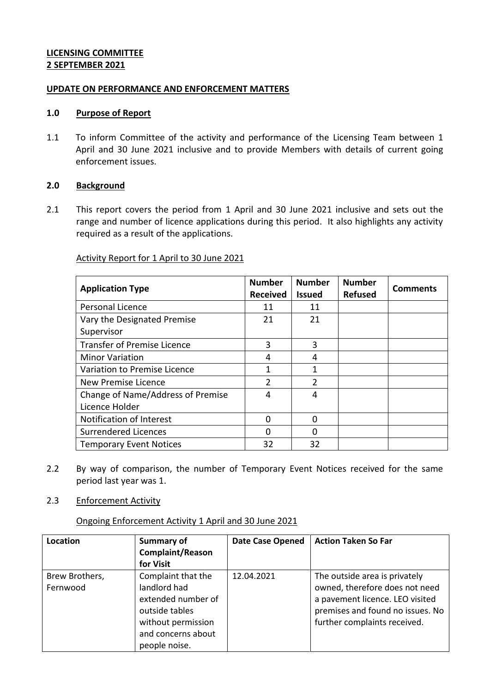# **LICENSING COMMITTEE 2 SEPTEMBER 2021**

### **UPDATE ON PERFORMANCE AND ENFORCEMENT MATTERS**

#### **1.0 Purpose of Report**

1.1 To inform Committee of the activity and performance of the Licensing Team between 1 April and 30 June 2021 inclusive and to provide Members with details of current going enforcement issues.

## **2.0 Background**

2.1 This report covers the period from 1 April and 30 June 2021 inclusive and sets out the range and number of licence applications during this period. It also highlights any activity required as a result of the applications.

# Activity Report for 1 April to 30 June 2021

| <b>Application Type</b>            | <b>Number</b><br><b>Received</b> | <b>Number</b><br><b>Issued</b> | <b>Number</b><br><b>Refused</b> | <b>Comments</b> |
|------------------------------------|----------------------------------|--------------------------------|---------------------------------|-----------------|
| Personal Licence                   | 11                               | 11                             |                                 |                 |
| Vary the Designated Premise        | 21                               | 21                             |                                 |                 |
| Supervisor                         |                                  |                                |                                 |                 |
| <b>Transfer of Premise Licence</b> | 3                                | 3                              |                                 |                 |
| <b>Minor Variation</b>             | 4                                | 4                              |                                 |                 |
| Variation to Premise Licence       |                                  | 1                              |                                 |                 |
| New Premise Licence                | 2                                | 2                              |                                 |                 |
| Change of Name/Address of Premise  | 4                                | 4                              |                                 |                 |
| Licence Holder                     |                                  |                                |                                 |                 |
| Notification of Interest           | 0                                | 0                              |                                 |                 |
| <b>Surrendered Licences</b>        | ∩                                | 0                              |                                 |                 |
| <b>Temporary Event Notices</b>     | 32                               | 32                             |                                 |                 |

2.2 By way of comparison, the number of Temporary Event Notices received for the same period last year was 1.

## 2.3 Enforcement Activity

Ongoing Enforcement Activity 1 April and 30 June 2021

| Location                   | Summary of<br><b>Complaint/Reason</b><br>for Visit                                                                                      | <b>Date Case Opened</b> | <b>Action Taken So Far</b>                                                                                                                                             |
|----------------------------|-----------------------------------------------------------------------------------------------------------------------------------------|-------------------------|------------------------------------------------------------------------------------------------------------------------------------------------------------------------|
| Brew Brothers,<br>Fernwood | Complaint that the<br>landlord had<br>extended number of<br>outside tables<br>without permission<br>and concerns about<br>people noise. | 12.04.2021              | The outside area is privately<br>owned, therefore does not need<br>a pavement licence. LEO visited<br>premises and found no issues. No<br>further complaints received. |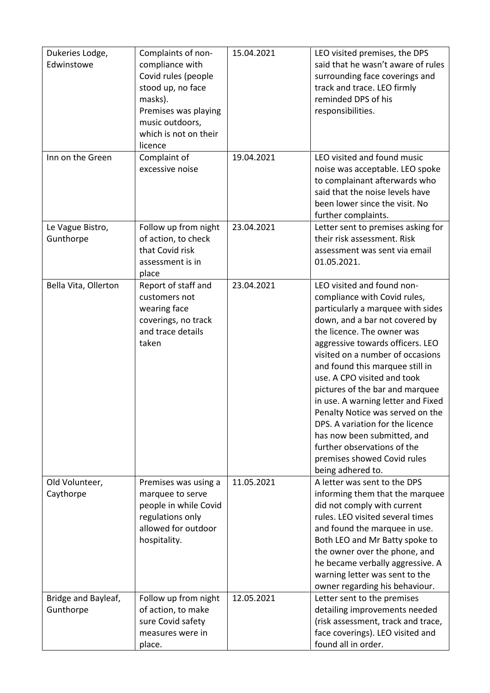| Dukeries Lodge,<br>Edwinstowe    | Complaints of non-<br>compliance with<br>Covid rules (people<br>stood up, no face<br>masks).<br>Premises was playing<br>music outdoors,<br>which is not on their<br>licence | 15.04.2021 | LEO visited premises, the DPS<br>said that he wasn't aware of rules<br>surrounding face coverings and<br>track and trace. LEO firmly<br>reminded DPS of his<br>responsibilities.                                                                                                                                                                                                                                                                                                                                                                                             |
|----------------------------------|-----------------------------------------------------------------------------------------------------------------------------------------------------------------------------|------------|------------------------------------------------------------------------------------------------------------------------------------------------------------------------------------------------------------------------------------------------------------------------------------------------------------------------------------------------------------------------------------------------------------------------------------------------------------------------------------------------------------------------------------------------------------------------------|
| Inn on the Green                 | Complaint of<br>excessive noise                                                                                                                                             | 19.04.2021 | LEO visited and found music<br>noise was acceptable. LEO spoke<br>to complainant afterwards who<br>said that the noise levels have<br>been lower since the visit. No<br>further complaints.                                                                                                                                                                                                                                                                                                                                                                                  |
| Le Vague Bistro,<br>Gunthorpe    | Follow up from night<br>of action, to check<br>that Covid risk<br>assessment is in<br>place                                                                                 | 23.04.2021 | Letter sent to premises asking for<br>their risk assessment. Risk<br>assessment was sent via email<br>01.05.2021.                                                                                                                                                                                                                                                                                                                                                                                                                                                            |
| Bella Vita, Ollerton             | Report of staff and<br>customers not<br>wearing face<br>coverings, no track<br>and trace details<br>taken                                                                   | 23.04.2021 | LEO visited and found non-<br>compliance with Covid rules,<br>particularly a marquee with sides<br>down, and a bar not covered by<br>the licence. The owner was<br>aggressive towards officers. LEO<br>visited on a number of occasions<br>and found this marquee still in<br>use. A CPO visited and took<br>pictures of the bar and marquee<br>in use. A warning letter and Fixed<br>Penalty Notice was served on the<br>DPS. A variation for the licence<br>has now been submitted, and<br>further observations of the<br>premises showed Covid rules<br>being adhered to. |
| Old Volunteer,<br>Caythorpe      | Premises was using a<br>marquee to serve<br>people in while Covid<br>regulations only<br>allowed for outdoor<br>hospitality.                                                | 11.05.2021 | A letter was sent to the DPS<br>informing them that the marquee<br>did not comply with current<br>rules. LEO visited several times<br>and found the marquee in use.<br>Both LEO and Mr Batty spoke to<br>the owner over the phone, and<br>he became verbally aggressive. A<br>warning letter was sent to the<br>owner regarding his behaviour.                                                                                                                                                                                                                               |
| Bridge and Bayleaf,<br>Gunthorpe | Follow up from night<br>of action, to make<br>sure Covid safety<br>measures were in<br>place.                                                                               | 12.05.2021 | Letter sent to the premises<br>detailing improvements needed<br>(risk assessment, track and trace,<br>face coverings). LEO visited and<br>found all in order.                                                                                                                                                                                                                                                                                                                                                                                                                |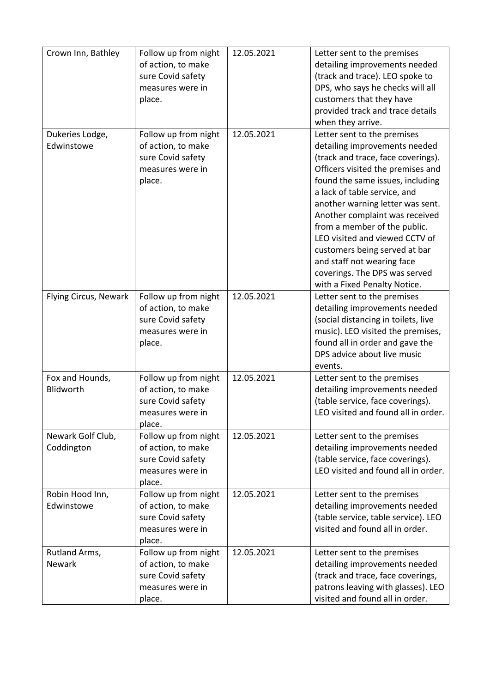| Crown Inn, Bathley    | Follow up from night | 12.05.2021 | Letter sent to the premises         |
|-----------------------|----------------------|------------|-------------------------------------|
|                       | of action, to make   |            | detailing improvements needed       |
|                       | sure Covid safety    |            | (track and trace). LEO spoke to     |
|                       | measures were in     |            | DPS, who says he checks will all    |
|                       |                      |            | customers that they have            |
|                       | place.               |            |                                     |
|                       |                      |            | provided track and trace details    |
|                       |                      |            | when they arrive.                   |
| Dukeries Lodge,       | Follow up from night | 12.05.2021 | Letter sent to the premises         |
| Edwinstowe            | of action, to make   |            | detailing improvements needed       |
|                       | sure Covid safety    |            | (track and trace, face coverings).  |
|                       | measures were in     |            | Officers visited the premises and   |
|                       | place.               |            | found the same issues, including    |
|                       |                      |            | a lack of table service, and        |
|                       |                      |            | another warning letter was sent.    |
|                       |                      |            | Another complaint was received      |
|                       |                      |            | from a member of the public.        |
|                       |                      |            | LEO visited and viewed CCTV of      |
|                       |                      |            | customers being served at bar       |
|                       |                      |            | and staff not wearing face          |
|                       |                      |            | coverings. The DPS was served       |
|                       |                      |            | with a Fixed Penalty Notice.        |
| Flying Circus, Newark | Follow up from night | 12.05.2021 | Letter sent to the premises         |
|                       | of action, to make   |            | detailing improvements needed       |
|                       | sure Covid safety    |            | (social distancing in toilets, live |
|                       | measures were in     |            |                                     |
|                       |                      |            | music). LEO visited the premises,   |
|                       | place.               |            | found all in order and gave the     |
|                       |                      |            | DPS advice about live music         |
|                       |                      |            | events.                             |
| Fox and Hounds,       | Follow up from night | 12.05.2021 | Letter sent to the premises         |
| Blidworth             | of action, to make   |            | detailing improvements needed       |
|                       | sure Covid safety    |            | (table service, face coverings).    |
|                       | measures were in     |            | LEO visited and found all in order. |
|                       | place.               |            |                                     |
| Newark Golf Club,     | Follow up from night | 12.05.2021 | Letter sent to the premises         |
| Coddington            | of action, to make   |            | detailing improvements needed       |
|                       | sure Covid safety    |            | (table service, face coverings).    |
|                       | measures were in     |            | LEO visited and found all in order. |
|                       | place.               |            |                                     |
| Robin Hood Inn,       | Follow up from night | 12.05.2021 | Letter sent to the premises         |
| Edwinstowe            | of action, to make   |            | detailing improvements needed       |
|                       | sure Covid safety    |            | (table service, table service). LEO |
|                       | measures were in     |            | visited and found all in order.     |
|                       | place.               |            |                                     |
| Rutland Arms,         | Follow up from night | 12.05.2021 | Letter sent to the premises         |
| Newark                |                      |            |                                     |
|                       | of action, to make   |            | detailing improvements needed       |
|                       | sure Covid safety    |            | (track and trace, face coverings,   |
|                       | measures were in     |            | patrons leaving with glasses). LEO  |
|                       | place.               |            | visited and found all in order.     |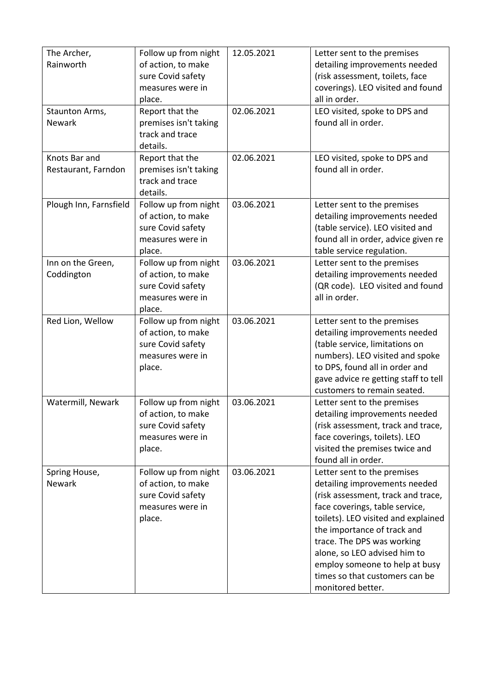| The Archer,            | Follow up from night  | 12.05.2021 | Letter sent to the premises          |
|------------------------|-----------------------|------------|--------------------------------------|
| Rainworth              | of action, to make    |            | detailing improvements needed        |
|                        | sure Covid safety     |            | (risk assessment, toilets, face      |
|                        | measures were in      |            | coverings). LEO visited and found    |
|                        | place.                |            | all in order.                        |
| Staunton Arms,         | Report that the       | 02.06.2021 | LEO visited, spoke to DPS and        |
| <b>Newark</b>          | premises isn't taking |            | found all in order.                  |
|                        | track and trace       |            |                                      |
|                        | details.              |            |                                      |
| Knots Bar and          | Report that the       | 02.06.2021 | LEO visited, spoke to DPS and        |
| Restaurant, Farndon    | premises isn't taking |            | found all in order.                  |
|                        | track and trace       |            |                                      |
|                        | details.              |            |                                      |
| Plough Inn, Farnsfield | Follow up from night  | 03.06.2021 | Letter sent to the premises          |
|                        | of action, to make    |            | detailing improvements needed        |
|                        | sure Covid safety     |            | (table service). LEO visited and     |
|                        | measures were in      |            | found all in order, advice given re  |
|                        | place.                |            | table service regulation.            |
| Inn on the Green,      | Follow up from night  | 03.06.2021 | Letter sent to the premises          |
| Coddington             | of action, to make    |            | detailing improvements needed        |
|                        | sure Covid safety     |            | (QR code). LEO visited and found     |
|                        | measures were in      |            | all in order.                        |
|                        | place.                |            |                                      |
| Red Lion, Wellow       | Follow up from night  | 03.06.2021 | Letter sent to the premises          |
|                        | of action, to make    |            | detailing improvements needed        |
|                        | sure Covid safety     |            | (table service, limitations on       |
|                        | measures were in      |            | numbers). LEO visited and spoke      |
|                        | place.                |            | to DPS, found all in order and       |
|                        |                       |            | gave advice re getting staff to tell |
|                        |                       |            | customers to remain seated.          |
| Watermill, Newark      | Follow up from night  | 03.06.2021 | Letter sent to the premises          |
|                        | of action, to make    |            | detailing improvements needed        |
|                        | sure Covid safety     |            | (risk assessment, track and trace,   |
|                        | measures were in      |            | face coverings, toilets). LEO        |
|                        | place.                |            | visited the premises twice and       |
|                        |                       |            | found all in order.                  |
| Spring House,          | Follow up from night  | 03.06.2021 | Letter sent to the premises          |
| Newark                 |                       |            |                                      |
|                        | of action, to make    |            | detailing improvements needed        |
|                        | sure Covid safety     |            | (risk assessment, track and trace,   |
|                        | measures were in      |            | face coverings, table service,       |
|                        | place.                |            | toilets). LEO visited and explained  |
|                        |                       |            | the importance of track and          |
|                        |                       |            | trace. The DPS was working           |
|                        |                       |            | alone, so LEO advised him to         |
|                        |                       |            | employ someone to help at busy       |
|                        |                       |            | times so that customers can be       |
|                        |                       |            | monitored better.                    |